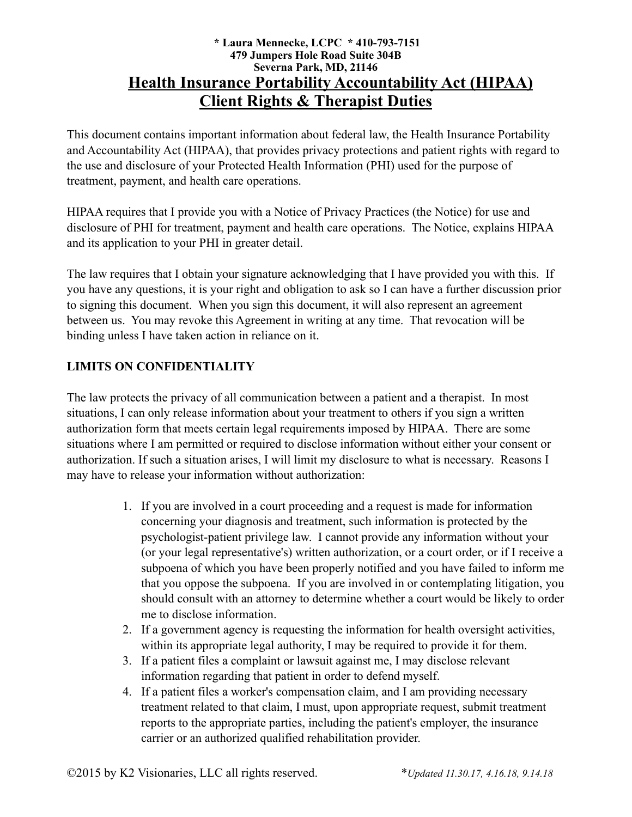## **\* Laura Mennecke, LCPC \* 410-793-7151 479 Jumpers Hole Road Suite 304B Severna Park, MD, 21146 Health Insurance Portability Accountability Act (HIPAA) Client Rights & Therapist Duties**

This document contains important information about federal law, the Health Insurance Portability and Accountability Act (HIPAA), that provides privacy protections and patient rights with regard to the use and disclosure of your Protected Health Information (PHI) used for the purpose of treatment, payment, and health care operations.

HIPAA requires that I provide you with a Notice of Privacy Practices (the Notice) for use and disclosure of PHI for treatment, payment and health care operations. The Notice, explains HIPAA and its application to your PHI in greater detail.

The law requires that I obtain your signature acknowledging that I have provided you with this. If you have any questions, it is your right and obligation to ask so I can have a further discussion prior to signing this document. When you sign this document, it will also represent an agreement between us. You may revoke this Agreement in writing at any time. That revocation will be binding unless I have taken action in reliance on it.

# **LIMITS ON CONFIDENTIALITY**

The law protects the privacy of all communication between a patient and a therapist. In most situations, I can only release information about your treatment to others if you sign a written authorization form that meets certain legal requirements imposed by HIPAA. There are some situations where I am permitted or required to disclose information without either your consent or authorization. If such a situation arises, I will limit my disclosure to what is necessary. Reasons I may have to release your information without authorization:

- 1. If you are involved in a court proceeding and a request is made for information concerning your diagnosis and treatment, such information is protected by the psychologist-patient privilege law. I cannot provide any information without your (or your legal representative's) written authorization, or a court order, or if I receive a subpoena of which you have been properly notified and you have failed to inform me that you oppose the subpoena. If you are involved in or contemplating litigation, you should consult with an attorney to determine whether a court would be likely to order me to disclose information.
- 2. If a government agency is requesting the information for health oversight activities, within its appropriate legal authority. I may be required to provide it for them.
- 3. If a patient files a complaint or lawsuit against me, I may disclose relevant information regarding that patient in order to defend myself.
- 4. If a patient files a worker's compensation claim, and I am providing necessary treatment related to that claim, I must, upon appropriate request, submit treatment reports to the appropriate parties, including the patient's employer, the insurance carrier or an authorized qualified rehabilitation provider.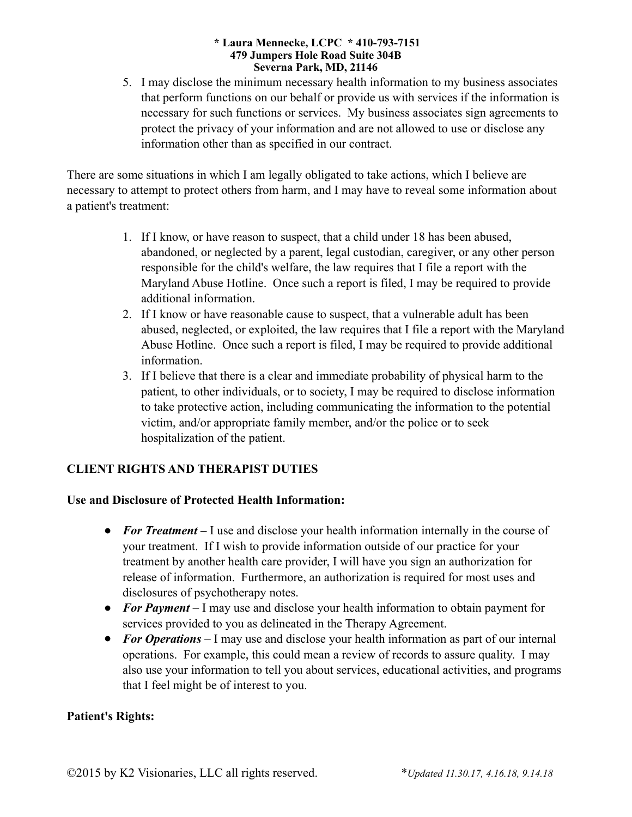#### **\* Laura Mennecke, LCPC \* 410-793-7151 479 Jumpers Hole Road Suite 304B Severna Park, MD, 21146**

5. I may disclose the minimum necessary health information to my business associates that perform functions on our behalf or provide us with services if the information is necessary for such functions or services. My business associates sign agreements to protect the privacy of your information and are not allowed to use or disclose any information other than as specified in our contract.

There are some situations in which I am legally obligated to take actions, which I believe are necessary to attempt to protect others from harm, and I may have to reveal some information about a patient's treatment:

- 1. If I know, or have reason to suspect, that a child under 18 has been abused, abandoned, or neglected by a parent, legal custodian, caregiver, or any other person responsible for the child's welfare, the law requires that I file a report with the Maryland Abuse Hotline. Once such a report is filed, I may be required to provide additional information.
- 2. If I know or have reasonable cause to suspect, that a vulnerable adult has been abused, neglected, or exploited, the law requires that I file a report with the Maryland Abuse Hotline. Once such a report is filed, I may be required to provide additional information.
- 3. If I believe that there is a clear and immediate probability of physical harm to the patient, to other individuals, or to society, I may be required to disclose information to take protective action, including communicating the information to the potential victim, and/or appropriate family member, and/or the police or to seek hospitalization of the patient.

# **CLIENT RIGHTS AND THERAPIST DUTIES**

# **Use and Disclosure of Protected Health Information:**

- **For Treatment** I use and disclose your health information internally in the course of your treatment. If I wish to provide information outside of our practice for your treatment by another health care provider, I will have you sign an authorization for release of information. Furthermore, an authorization is required for most uses and disclosures of psychotherapy notes.
- *For Payment* I may use and disclose your health information to obtain payment for services provided to you as delineated in the Therapy Agreement.
- *For Operations* I may use and disclose your health information as part of our internal operations. For example, this could mean a review of records to assure quality. I may also use your information to tell you about services, educational activities, and programs that I feel might be of interest to you.

### **Patient's Rights:**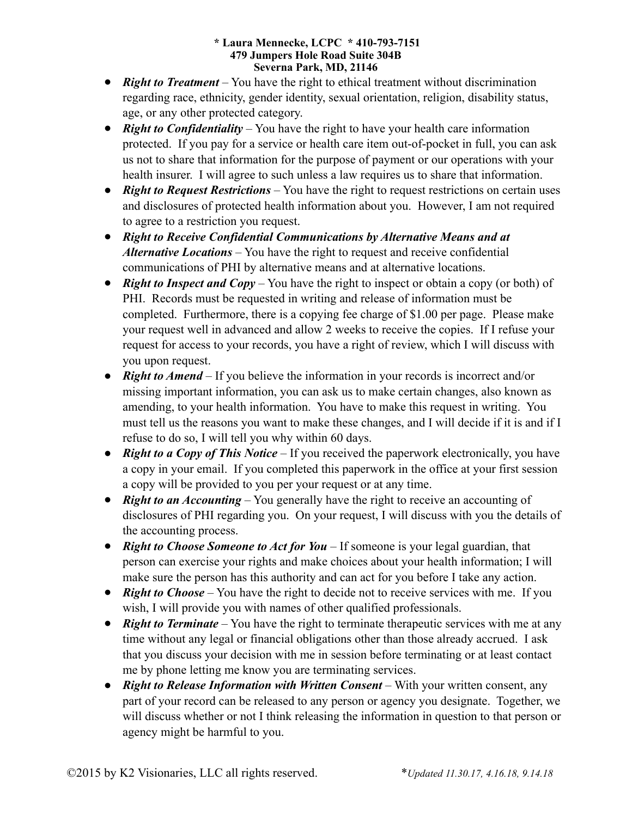#### **\* Laura Mennecke, LCPC \* 410-793-7151 479 Jumpers Hole Road Suite 304B Severna Park, MD, 21146**

- *Right to Treatment* You have the right to ethical treatment without discrimination regarding race, ethnicity, gender identity, sexual orientation, religion, disability status, age, or any other protected category.
- *Right to Confidentiality* You have the right to have your health care information protected. If you pay for a service or health care item out-of-pocket in full, you can ask us not to share that information for the purpose of payment or our operations with your health insurer. I will agree to such unless a law requires us to share that information.
- *Right to Request Restrictions* You have the right to request restrictions on certain uses and disclosures of protected health information about you. However, I am not required to agree to a restriction you request.
- ! *Right to Receive Confidential Communications by Alternative Means and at Alternative Locations –* You have the right to request and receive confidential communications of PHI by alternative means and at alternative locations.
- *Right to Inspect and Copy* You have the right to inspect or obtain a copy (or both) of PHI. Records must be requested in writing and release of information must be completed. Furthermore, there is a copying fee charge of \$1.00 per page. Please make your request well in advanced and allow 2 weeks to receive the copies. If I refuse your request for access to your records, you have a right of review, which I will discuss with you upon request.
- *Right to Amend* If you believe the information in your records is incorrect and/or missing important information, you can ask us to make certain changes, also known as amending, to your health information. You have to make this request in writing. You must tell us the reasons you want to make these changes, and I will decide if it is and if I refuse to do so, I will tell you why within 60 days.
- *Right to a Copy of This Notice* If you received the paperwork electronically, you have a copy in your email. If you completed this paperwork in the office at your first session a copy will be provided to you per your request or at any time.
- *Right to an Accounting* You generally have the right to receive an accounting of disclosures of PHI regarding you. On your request, I will discuss with you the details of the accounting process.
- *Right to Choose Someone to Act for You* If someone is your legal guardian, that person can exercise your rights and make choices about your health information; I will make sure the person has this authority and can act for you before I take any action.
- **Right to Choose** You have the right to decide not to receive services with me. If you wish, I will provide you with names of other qualified professionals.
- **Right to Terminate** You have the right to terminate therapeutic services with me at any time without any legal or financial obligations other than those already accrued. I ask that you discuss your decision with me in session before terminating or at least contact me by phone letting me know you are terminating services.
- **Right to Release Information with Written Consent** With your written consent, any part of your record can be released to any person or agency you designate. Together, we will discuss whether or not I think releasing the information in question to that person or agency might be harmful to you.